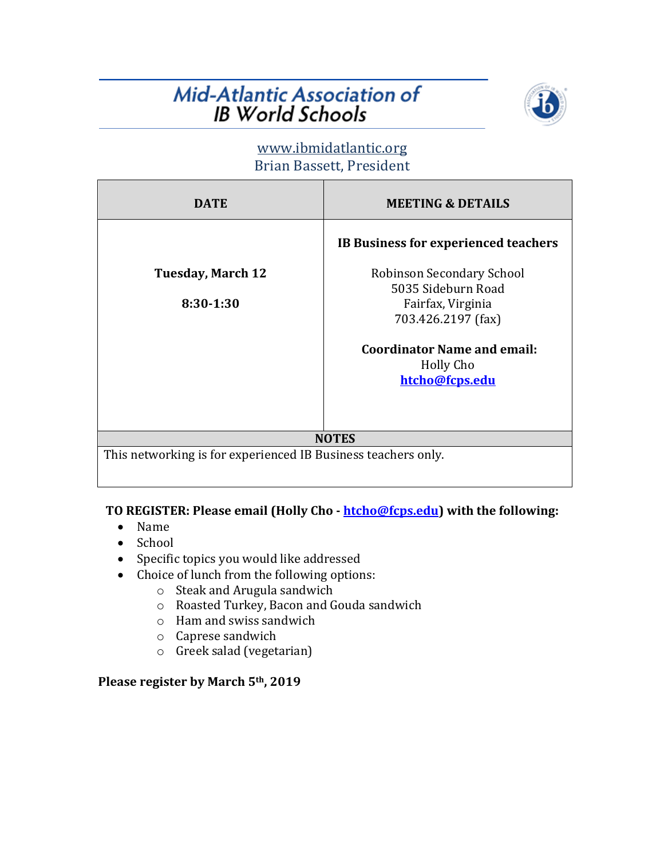# Mid-Atlantic Association of **IB World Schools**



## www.ibmidatlantic.org Brian Bassett, President

| <b>DATE</b>                                                                   | <b>MEETING &amp; DETAILS</b>                                                                                                                                                                                   |
|-------------------------------------------------------------------------------|----------------------------------------------------------------------------------------------------------------------------------------------------------------------------------------------------------------|
| <b>Tuesday, March 12</b><br>8:30-1:30                                         | <b>IB Business for experienced teachers</b><br>Robinson Secondary School<br>5035 Sideburn Road<br>Fairfax, Virginia<br>703.426.2197 (fax)<br><b>Coordinator Name and email:</b><br>Holly Cho<br>htcho@fcps.edu |
| <b>NOTES</b><br>This networking is for experienced IB Business teachers only. |                                                                                                                                                                                                                |

#### TO REGISTER: Please email (Holly Cho - htcho@fcps.edu) with the following:

- Name
- School
- Specific topics you would like addressed
- Choice of lunch from the following options:
	- o Steak and Arugula sandwich
	- o Roasted Turkey, Bacon and Gouda sandwich
	- $\circ$  Ham and swiss sandwich
	- o Caprese sandwich
	- $\circ$  Greek salad (vegetarian)

### **Please register by March 5th, 2019**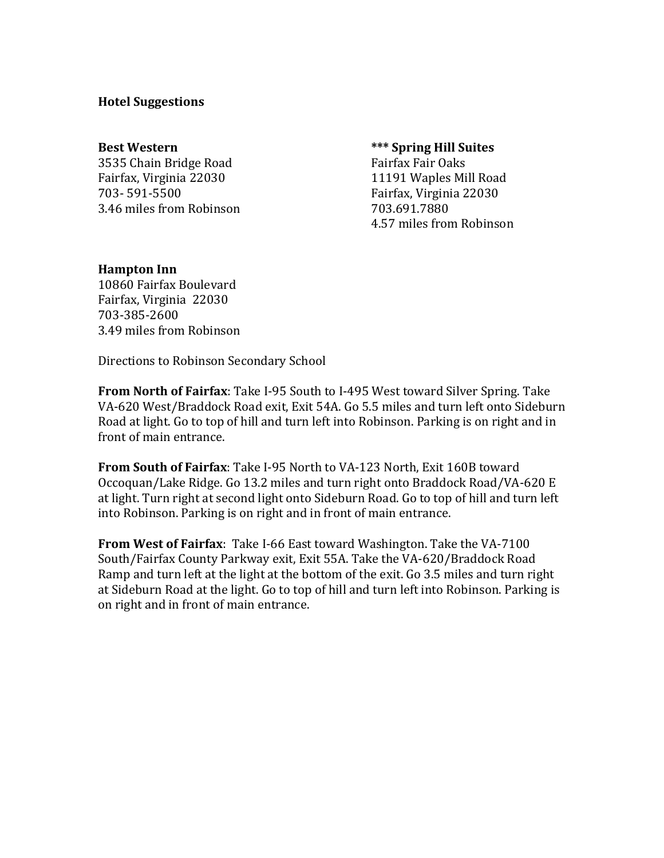#### **Hotel Suggestions**

3535 Chain Bridge Road Fairfax Fair Oaks Fairfax, Virginia 22030 **11191** Waples Mill Road 703- 591-5500 Fairfax, Virginia 22030 3.46 miles from Robinson 703.691.7880

#### **Best Western best Western** *\*\*\** **Spring Hill Suites**

4.57 miles from Robinson

#### **Hampton** Inn

10860 Fairfax Boulevard Fairfax, Virginia 22030 703-385-2600 3.49 miles from Robinson

Directions to Robinson Secondary School

**From North of Fairfax:** Take I-95 South to I-495 West toward Silver Spring. Take VA-620 West/Braddock Road exit, Exit 54A. Go 5.5 miles and turn left onto Sideburn Road at light. Go to top of hill and turn left into Robinson. Parking is on right and in front of main entrance.

**From South of Fairfax**: Take I-95 North to VA-123 North, Exit 160B toward Occoquan/Lake Ridge. Go 13.2 miles and turn right onto Braddock Road/VA-620 E at light. Turn right at second light onto Sideburn Road. Go to top of hill and turn left into Robinson. Parking is on right and in front of main entrance.

**From West of Fairfax**: Take I-66 East toward Washington. Take the VA-7100 South/Fairfax County Parkway exit, Exit 55A. Take the VA-620/Braddock Road Ramp and turn left at the light at the bottom of the exit. Go 3.5 miles and turn right at Sideburn Road at the light. Go to top of hill and turn left into Robinson. Parking is on right and in front of main entrance.